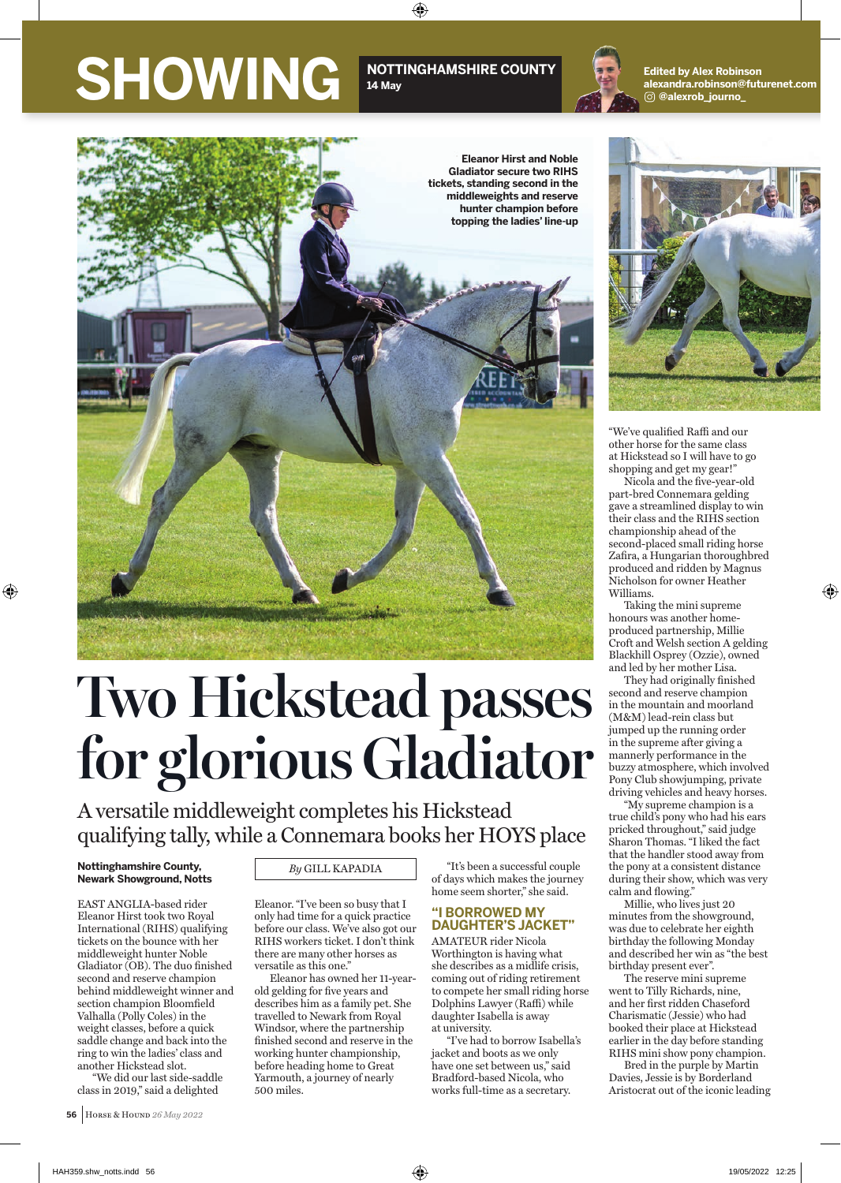## SHOWING<sup>NOTTINGHAMSHIRE COUNTY</sup>

### **14 May**

⊕



**Edited by Alex Robinson alexandra.robinson@futurenet.com @alexrob\_journo\_**



# **Two Hickstead passes for glorious Gladiator**

A versatile middleweight completes his Hickstead qualifying tally, while a Connemara books her HOYS place

#### **Nottinghamshire County, Newark Showground, Notts**

♠

EAST ANGLIA-based rider Eleanor Hirst took two Royal International (RIHS) qualifying tickets on the bounce with her middleweight hunter Noble Gladiator (OB). The duo finished second and reserve champion behind middleweight winner and section champion Bloomfield Valhalla (Polly Coles) in the weight classes, before a quick saddle change and back into the ring to win the ladies' class and another Hickstead slot.

"We did our last side-saddle class in 2019," said a delighted

 **56** HORSE & HOUND *26 May 2022*

*By* GILL KAPADIA

Eleanor. "I've been so busy that I only had time for a quick practice before our class. We've also got our RIHS workers ticket. I don't think there are many other horses as versatile as this one."

Eleanor has owned her 11-yearold gelding for five years and describes him as a family pet. She travelled to Newark from Royal Windsor, where the partnership finished second and reserve in the working hunter championship, before heading home to Great Yarmouth, a journey of nearly 500 miles.

"It's been a successful couple of days which makes the journey home seem shorter," she said.

#### **"I BORROWED MY DAUGHTER'S JACKET"**

AMATEUR rider Nicola Worthington is having what she describes as a midlife crisis, coming out of riding retirement to compete her small riding horse Dolphins Lawyer (Raffi) while daughter Isabella is away at university.

"I've had to borrow Isabella's jacket and boots as we only have one set between us," said Bradford-based Nicola, who works full-time as a secretary.



"We've qualified Raffi and our other horse for the same class at Hickstead so I will have to go shopping and get my gear!"

Nicola and the five-year-old part-bred Connemara gelding gave a streamlined display to win their class and the RIHS section championship ahead of the second-placed small riding horse Zafira, a Hungarian thoroughbred produced and ridden by Magnus Nicholson for owner Heather Williams.

⊕

Taking the mini supreme honours was another homeproduced partnership, Millie Croft and Welsh section A gelding Blackhill Osprey (Ozzie), owned and led by her mother Lisa.

They had originally finished second and reserve champion in the mountain and moorland (M&M) lead-rein class but jumped up the running order in the supreme after giving a mannerly performance in the buzzy atmosphere, which involved Pony Club showjumping, private driving vehicles and heavy horses.

"My supreme champion is a true child's pony who had his ears pricked throughout," said judge Sharon Thomas. "I liked the fact that the handler stood away from the pony at a consistent distance during their show, which was very calm and flowing."

Millie, who lives just 20 minutes from the showground, was due to celebrate her eighth birthday the following Monday and described her win as "the best birthday present ever".

The reserve mini supreme went to Tilly Richards, nine, and her first ridden Chaseford Charismatic (Jessie) who had booked their place at Hickstead earlier in the day before standing RIHS mini show pony champion.

Bred in the purple by Martin Davies, Jessie is by Borderland Aristocrat out of the iconic leading